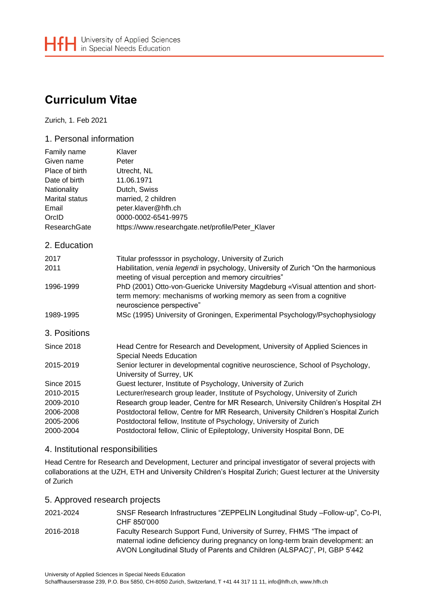# **Curriculum Vitae**

Zurich, 1. Feb 2021

## 1. Personal information

| Family name           | Klaver                                                                                                                                                                            |
|-----------------------|-----------------------------------------------------------------------------------------------------------------------------------------------------------------------------------|
| Given name            | Peter                                                                                                                                                                             |
| Place of birth        | Utrecht, NL                                                                                                                                                                       |
| Date of birth         | 11.06.1971                                                                                                                                                                        |
| Nationality           | Dutch, Swiss                                                                                                                                                                      |
| <b>Marital status</b> | married, 2 children                                                                                                                                                               |
| Email                 | peter.klaver@hfh.ch                                                                                                                                                               |
| OrcID                 | 0000-0002-6541-9975                                                                                                                                                               |
| ResearchGate          | https://www.researchgate.net/profile/Peter_Klaver                                                                                                                                 |
| 2. Education          |                                                                                                                                                                                   |
| 2017                  | Titular professsor in psychology, University of Zurich                                                                                                                            |
| 2011                  | Habilitation, venia legendi in psychology, University of Zurich "On the harmonious<br>meeting of visual perception and memory circuitries"                                        |
| 1996-1999             | PhD (2001) Otto-von-Guericke University Magdeburg «Visual attention and short-<br>term memory: mechanisms of working memory as seen from a cognitive<br>neuroscience perspective" |
| 1989-1995             | MSc (1995) University of Groningen, Experimental Psychology/Psychophysiology                                                                                                      |
| 3. Positions          |                                                                                                                                                                                   |
| <b>Since 2018</b>     | Head Centre for Research and Development, University of Applied Sciences in<br><b>Special Needs Education</b>                                                                     |
| 2015-2019             | Senior lecturer in developmental cognitive neuroscience, School of Psychology,<br>University of Surrey, UK                                                                        |
| <b>Since 2015</b>     | Guest lecturer, Institute of Psychology, University of Zurich                                                                                                                     |
| 2010-2015             | Lecturer/research group leader, Institute of Psychology, University of Zurich                                                                                                     |
| 2009-2010             | Research group leader, Centre for MR Research, University Children's Hospital ZH                                                                                                  |
| 2006-2008             | Postdoctoral fellow, Centre for MR Research, University Children's Hospital Zurich                                                                                                |
| 2005-2006             | Postdoctoral fellow, Institute of Psychology, University of Zurich                                                                                                                |
| 2000-2004             | Postdoctoral fellow, Clinic of Epileptology, University Hospital Bonn, DE                                                                                                         |

## 4. Institutional responsibilities

Head Centre for Research and Development, Lecturer and principal investigator of several projects with collaborations at the UZH, ETH and University Children's Hospital Zurich; Guest lecturer at the University of Zurich

### 5. Approved research projects

| 2021-2024 | SNSF Research Infrastructures "ZEPPELIN Longitudinal Study - Follow-up", Co-PI,<br>CHF 850'000                                                                                                                                         |
|-----------|----------------------------------------------------------------------------------------------------------------------------------------------------------------------------------------------------------------------------------------|
| 2016-2018 | Faculty Research Support Fund, University of Surrey, FHMS "The impact of<br>maternal iodine deficiency during pregnancy on long-term brain development: an<br>AVON Longitudinal Study of Parents and Children (ALSPAC)", PI, GBP 5'442 |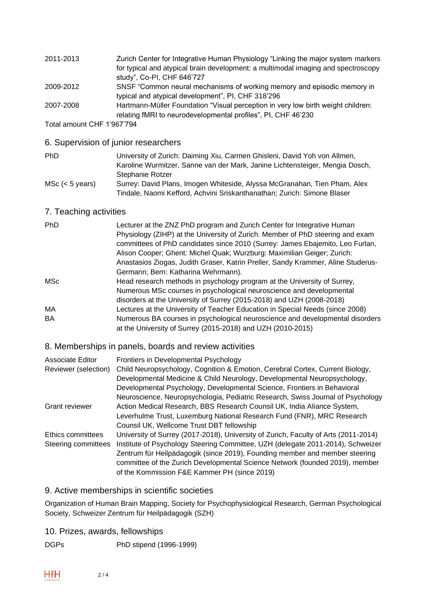| 2011-2013 | Zurich Center for Integrative Human Physiology "Linking the major system markers  |
|-----------|-----------------------------------------------------------------------------------|
|           | for typical and atypical brain development: a multimodal imaging and spectroscopy |
|           | study", Co-PI, CHF 646'727                                                        |
| 2009-2012 | SNSF "Common neural mechanisms of working memory and episodic memory in           |
|           | typical and atypical development", PI, CHF 318'296                                |
| 2007-2008 | Hartmann-Müller Foundation "Visual perception in very low birth weight children:  |
|           | relating fMRI to neurodevelopmental profiles", PI, CHF 46'230                     |
|           |                                                                                   |

Total amount CHF 1'967'794

## 6. Supervision of junior researchers

| PhD                  | University of Zurich: Daiming Xiu, Carmen Ghisleni, David Yoh von Allmen,<br>Karoline Wurmitzer, Sanne van der Mark, Janine Lichtensteiger, Mengia Dosch, |
|----------------------|-----------------------------------------------------------------------------------------------------------------------------------------------------------|
|                      | Stephanie Rotzer                                                                                                                                          |
| $MSc$ ( $<$ 5 years) | Surrey: David Plans, Imogen Whiteside, Alyssa McGranahan, Tien Pham, Alex                                                                                 |
|                      | Tindale, Naomi Kefford, Achvini Sriskanthanathan; Zurich: Simone Blaser                                                                                   |

# 7. Teaching activities

| <b>PhD</b> | Lecturer at the ZNZ PhD program and Zurich Center for Integrative Human<br>Physiology (ZIHP) at the University of Zurich. Member of PhD steering and exam<br>committees of PhD candidates since 2010 (Surrey: James Ebajemito, Leo Furlan,<br>Alison Cooper; Ghent: Michel Quak; Wurzburg: Maximilian Geiger; Zurich:<br>Anastasios Ziogas, Judith Graser, Katrin Preller, Sandy Krammer, Aline Studerus- |
|------------|-----------------------------------------------------------------------------------------------------------------------------------------------------------------------------------------------------------------------------------------------------------------------------------------------------------------------------------------------------------------------------------------------------------|
|            | Germann; Bern: Katharina Wehrmann).                                                                                                                                                                                                                                                                                                                                                                       |
| <b>MSc</b> | Head research methods in psychology program at the University of Surrey,<br>Numerous MSc courses in psychological neuroscience and developmental                                                                                                                                                                                                                                                          |
|            | disorders at the University of Surrey (2015-2018) and UZH (2008-2018)                                                                                                                                                                                                                                                                                                                                     |
| MA         | Lectures at the University of Teacher Education in Special Needs (since 2008)                                                                                                                                                                                                                                                                                                                             |
| <b>BA</b>  | Numerous BA courses in psychological neuroscience and developmental disorders<br>at the University of Surrey (2015-2018) and UZH (2010-2015)                                                                                                                                                                                                                                                              |

# 8. Memberships in panels, boards and review activities

| Associate Editor<br>Reviewer (selection) | Frontiers in Developmental Psychology<br>Child Neuropsychology, Cognition & Emotion, Cerebral Cortex, Current Biology,<br>Developmental Medicine & Child Neurology, Developmental Neuropsychology,<br>Developmental Psychology, Developmental Science, Frontiers in Behavioral<br>Neuroscience, Neuropsychologia, Pediatric Research, Swiss Journal of Psychology                     |
|------------------------------------------|---------------------------------------------------------------------------------------------------------------------------------------------------------------------------------------------------------------------------------------------------------------------------------------------------------------------------------------------------------------------------------------|
| <b>Grant reviewer</b>                    | Action Medical Research, BBS Research Counsil UK, India Aliance System,<br>Leverhulme Trust, Luxemburg National Research Fund (FNR), MRC Research<br>Counsil UK, Wellcome Trust DBT fellowship                                                                                                                                                                                        |
| Ethics committees<br>Steering committees | University of Surrey (2017-2018), University of Zurich, Faculty of Arts (2011-2014)<br>Institute of Psychology Steering Committee, UZH (delegate 2011-2014), Schweizer<br>Zentrum für Heilpädagogik (since 2019), Founding member and member steering<br>committee of the Zurich Developmental Science Network (founded 2019), member<br>of the Kommission F&E Kammer PH (since 2019) |

# 9. Active memberships in scientific societies

Organization of Human Brain Mapping, Society for Psychophysiological Research, German Psychological Society, Schweizer Zentrum für Heilpädagogik (SZH)

10. Prizes, awards, fellowships

DGPs PhD stipend (1996-1999)

**HfH**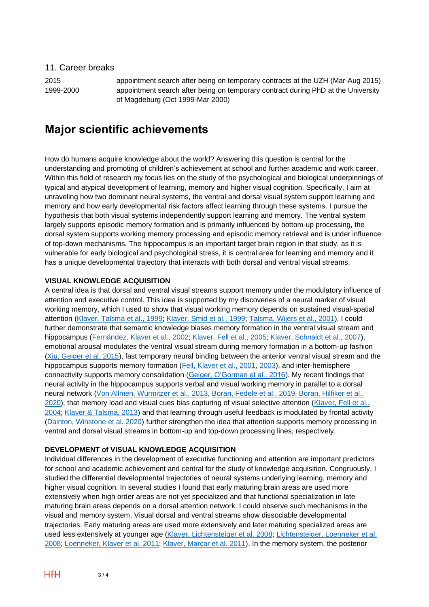11. Career breaks

2015 appointment search after being on temporary contracts at the UZH (Mar-Aug 2015) 1999-2000 appointment search after being on temporary contract during PhD at the University of Magdeburg (Oct 1999-Mar 2000)

# **Major scientific achievements**

How do humans acquire knowledge about the world? Answering this question is central for the understanding and promoting of children's achievement at school and further academic and work career. Within this field of research my focus lies on the study of the psychological and biological underpinnings of typical and atypical development of learning, memory and higher visual cognition. Specifically, I aim at unraveling how two dominant neural systems, the ventral and dorsal visual system support learning and memory and how early developmental risk factors affect learning through these systems. I pursue the hypothesis that both visual systems independently support learning and memory. The ventral system largely supports episodic memory formation and is primarily influenced by bottom-up processing, the dorsal system supports working memory processing and episodic memory retrieval and is under influence of top-down mechanisms. The hippocampus is an important target brain region in that study, as it is vulnerable for early biological and psychological stress, it is central area for learning and memory and it has a unique developmental trajectory that interacts with both dorsal and ventral visual streams.

### **VISUAL KNOWLEDGE ACQUISITION**

A central idea is that dorsal and ventral visual streams support memory under the modulatory influence of attention and executive control. This idea is supported by my discoveries of a neural marker of visual working memory, which I used to show that visual working memory depends on sustained visual-spatial attention [\(Klaver, Talsma et al., 1999;](https://www.ncbi.nlm.nih.gov/pubmed/10424664) [Klaver, Smid et al., 1999;](https://www.ncbi.nlm.nih.gov/pubmed/10400079) [Talsma, Wijers et al., 2001\)](https://www.ncbi.nlm.nih.gov/pubmed/11352131). I could further demonstrate that semantic knowledge biases memory formation in the ventral visual stream and hippocampus [\(Fernández, Klaver et al., 2002;](https://www.ncbi.nlm.nih.gov/pubmed/12201636) [Klaver, Fell et al., 2005;](https://www.ncbi.nlm.nih.gov/pubmed/15986408) [Klaver, Schnaidt et al., 2007\)](https://www.ncbi.nlm.nih.gov/pubmed/17178236), emotional arousal modulates the ventral visual stream during memory formation in a bottom-up fashion [\(Xiu, Geiger](https://www.ncbi.nlm.nih.gov/pubmed/25954169) et al. 2015), fast temporary neural binding between the anterior ventral visual stream and the hippocampus supports memory formation [\(Fell, Klaver et al., 2001,](https://www.ncbi.nlm.nih.gov/pubmed/11694886) [2003\)](https://www.ncbi.nlm.nih.gov/pubmed/12653984), and inter-hemisphere connectivity supports memory consolidation [\(Geiger, O'Gorman et al., 2016\)](https://www.ncbi.nlm.nih.gov/pubmed/26844811). My recent findings that neural activity in the hippocampus supports verbal and visual working memory in parallel to a dorsal neural network [\(Von Allmen, Wurmitzer et al., 2013,](https://www.ncbi.nlm.nih.gov/pubmed/23519991) [Boran, Fedele et al., 2019,](https://www.ncbi.nlm.nih.gov/pubmed/30944858) [Boran, Hilfiker](https://www.biorxiv.org/content/10.1101/2020.06.15.152207v1) et al., [2020\)](https://www.biorxiv.org/content/10.1101/2020.06.15.152207v1), that memory load and visual cues bias capturing of visual selective attention [\(Klaver, Fell et al.,](https://www.ncbi.nlm.nih.gov/pubmed/15183395)  [2004;](https://www.ncbi.nlm.nih.gov/pubmed/15183395) [Klaver & Talsma, 2013\)](https://www.ncbi.nlm.nih.gov/pubmed/24015992) and that learning through useful feedback is modulated by frontal activity [\(Dainton, Winstone et al. 2020\)](https://onlinelibrary.wiley.com/doi/full/10.1111/mbe.12227) further strengthen the idea that attention supports memory processing in ventral and dorsal visual streams in bottom-up and top-down processing lines, respectively.

#### **DEVELOPMENT of VISUAL KNOWLEDGE ACQUISITION**

Individual differences in the development of executive functioning and attention are important predictors for school and academic achievement and central for the study of knowledge acquisition. Congruously, I studied the differential developmental trajectories of neural systems underlying learning, memory and higher visual cognition. In several studies I found that early maturing brain areas are used more extensively when high order areas are not yet specialized and that functional specialization in late maturing brain areas depends on a dorsal attention network. I could observe such mechanisms in the visual and memory system. Visual dorsal and ventral streams show dissociable developmental trajectories. Early maturing areas are used more extensively and later maturing specialized areas are used less extensively at younger age [\(Klaver, Lichtensteiger et al. 2008;](https://www.ncbi.nlm.nih.gov/pubmed/18096410) [Lichtensteiger, Loenneker et al.](https://www.ncbi.nlm.nih.gov/pubmed/18955908)  [2008;](https://www.ncbi.nlm.nih.gov/pubmed/18955908) [Loenneker, Klaver et al. 2011;](https://www.ncbi.nlm.nih.gov/pubmed/20533564) [Klaver, Marcar et al. 2011\)](https://www.ncbi.nlm.nih.gov/pubmed/21489386). In the memory system, the posterior

HfH